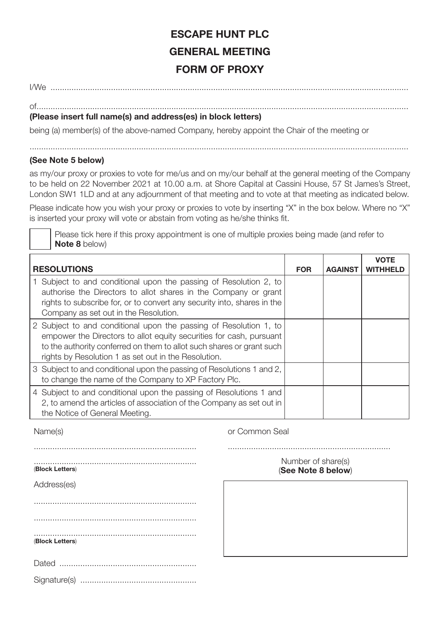## **ESCAPE HUNT PLC GENERAL MEETING FORM OF PROXY**

I/We ..........................................................................................................................................................

## of................................................................................................................................................................ **(Please insert full name(s) and address(es) in block letters)**

being (a) member(s) of the above-named Company, hereby appoint the Chair of the meeting or

## **(See Note 5 below)**

as my/our proxy or proxies to vote for me/us and on my/our behalf at the general meeting of the Company to be held on 22 November 2021 at 10.00 a.m. at Shore Capital at Cassini House, 57 St James's Street, London SW1 1LD and at any adjournment of that meeting and to vote at that meeting as indicated below.

Please indicate how you wish your proxy or proxies to vote by inserting "X" in the box below. Where no "X" is inserted your proxy will vote or abstain from voting as he/she thinks fit.

Please tick here if this proxy appointment is one of multiple proxies being made (and refer to **Note 8** below)

| <b>RESOLUTIONS</b>                                                                                                                                                                                                                                                        | <b>FOR</b> | <b>AGAINST</b> | <b>VOTE</b><br><b>WITHHELD</b> |
|---------------------------------------------------------------------------------------------------------------------------------------------------------------------------------------------------------------------------------------------------------------------------|------------|----------------|--------------------------------|
| 1 Subject to and conditional upon the passing of Resolution 2, to<br>authorise the Directors to allot shares in the Company or grant<br>rights to subscribe for, or to convert any security into, shares in the<br>Company as set out in the Resolution.                  |            |                |                                |
| 2 Subject to and conditional upon the passing of Resolution 1, to<br>empower the Directors to allot equity securities for cash, pursuant<br>to the authority conferred on them to allot such shares or grant such<br>rights by Resolution 1 as set out in the Resolution. |            |                |                                |
| 3 Subject to and conditional upon the passing of Resolutions 1 and 2,<br>to change the name of the Company to XP Factory Plc.                                                                                                                                             |            |                |                                |
| 4 Subject to and conditional upon the passing of Resolutions 1 and<br>2, to amend the articles of association of the Company as set out in<br>the Notice of General Meeting.                                                                                              |            |                |                                |

Name(s) **Name(s) Name(s) Name(s) Name(s) Name(s) O Common Seal** 

| (Block Letters) |
|-----------------|
| Address(es)     |
|                 |
|                 |
| (Block Letters) |
|                 |
|                 |

Number of share(s) (**See Note 8 below**)